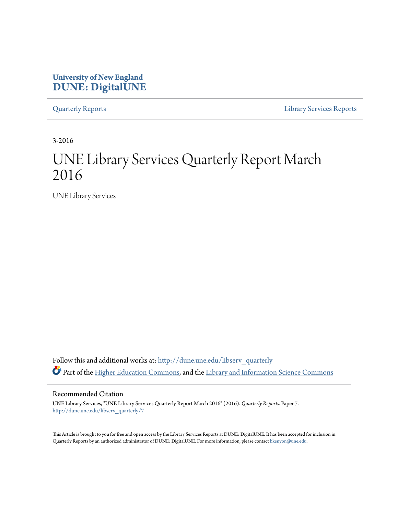## **University of New England [DUNE: DigitalUNE](http://dune.une.edu?utm_source=dune.une.edu%2Flibserv_quarterly%2F7&utm_medium=PDF&utm_campaign=PDFCoverPages)**

[Quarterly Reports](http://dune.une.edu/libserv_quarterly?utm_source=dune.une.edu%2Flibserv_quarterly%2F7&utm_medium=PDF&utm_campaign=PDFCoverPages) [Library Services Reports](http://dune.une.edu/libserv_reports?utm_source=dune.une.edu%2Flibserv_quarterly%2F7&utm_medium=PDF&utm_campaign=PDFCoverPages)

3-2016

# UNE Library Services Quarterly Report March 2016

UNE Library Services

Follow this and additional works at: [http://dune.une.edu/libserv\\_quarterly](http://dune.une.edu/libserv_quarterly?utm_source=dune.une.edu%2Flibserv_quarterly%2F7&utm_medium=PDF&utm_campaign=PDFCoverPages) Part of the [Higher Education Commons](http://network.bepress.com/hgg/discipline/1245?utm_source=dune.une.edu%2Flibserv_quarterly%2F7&utm_medium=PDF&utm_campaign=PDFCoverPages), and the [Library and Information Science Commons](http://network.bepress.com/hgg/discipline/1018?utm_source=dune.une.edu%2Flibserv_quarterly%2F7&utm_medium=PDF&utm_campaign=PDFCoverPages)

Recommended Citation

UNE Library Services, "UNE Library Services Quarterly Report March 2016" (2016). *Quarterly Reports.* Paper 7. [http://dune.une.edu/libserv\\_quarterly/7](http://dune.une.edu/libserv_quarterly/7?utm_source=dune.une.edu%2Flibserv_quarterly%2F7&utm_medium=PDF&utm_campaign=PDFCoverPages)

This Article is brought to you for free and open access by the Library Services Reports at DUNE: DigitalUNE. It has been accepted for inclusion in Quarterly Reports by an authorized administrator of DUNE: DigitalUNE. For more information, please contact [bkenyon@une.edu.](mailto:bkenyon@une.edu)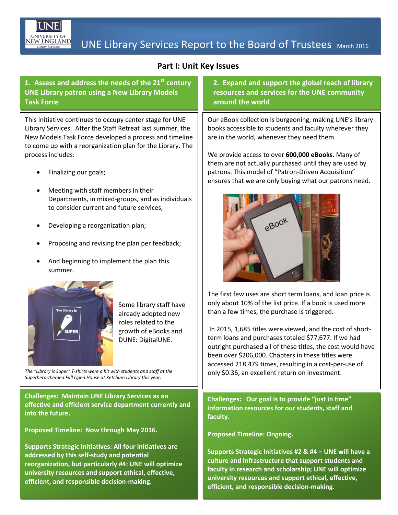

## **EW ENGLAND** UNE Library Services Report to the Board of Trustees March 2016

## **Part I: Unit Key Issues**

**1. Assess and address the needs of the 21st century UNE Library patron using a New Library Models Task Force**

This initiative continues to occupy center stage for UNE Library Services. After the Staff Retreat last summer, the New Models Task Force developed a process and timeline to come up with a reorganization plan for the Library. The process includes:

- Finalizing our goals;
- Meeting with staff members in their Departments, in mixed-groups, and as individuals to consider current and future services;
- Developing a reorganization plan;
- Proposing and revising the plan per feedback;
- And beginning to implement the plan this summer.



Some library staff have already adopted new roles related to the growth of eBooks and DUNE: DigitalUNE.

*The "Library is Super" T-shirts were a hit with students and staff at the Superhero-themed Fall Open House at Ketchum Library this year.*

**Challenges: Maintain UNE Library Services as an effective and efficient service department currently and into the future.**

**Proposed Timeline: Now through May 2016.**

**Supports Strategic Initiatives: All four initiatives are addressed by this self-study and potential reorganization, but particularly #4: UNE will optimize university resources and support ethical, effective, efficient, and responsible decision-making.**

**2. Expand and support the global reach of library resources and services for the UNE community around the world** 

Our eBook collection is burgeoning, making UNE's library books accessible to students and faculty wherever they are in the world, whenever they need them.

We provide access to over **600,000 eBooks**. Many of them are not actually purchased until they are used by patrons. This model of "Patron-Driven Acquisition" ensures that we are only buying what our patrons need.



The first few uses are short term loans, and loan price is only about 10% of the list price. If a book is used more than a few times, the purchase is triggered.

In 2015, 1,685 titles were viewed, and the cost of shortterm loans and purchases totaled \$77,677. If we had outright purchased all of these titles, the cost would have been over \$206,000. Chapters in these titles were accessed 218,479 times, resulting in a cost-per-use of only \$0.36, an excellent return on investment.

**Challenges: Our goal is to provide "just in time" information resources for our students, staff and faculty.** 

**Proposed Timeline: Ongoing.**

**Supports Strategic Initiatives #2 & #4 – UNE will have a culture and infrastructure that support students and faculty in research and scholarship; UNE will optimize university resources and support ethical, effective, efficient, and responsible decision-making.**